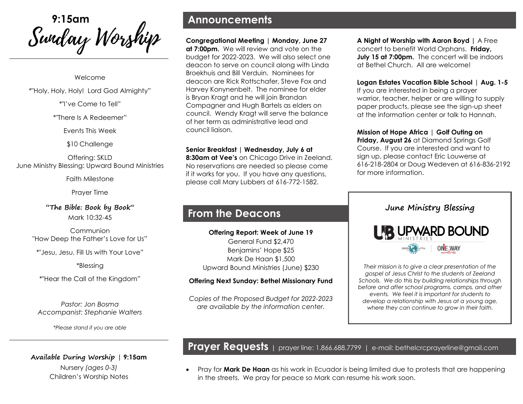<sup>9:15am</sup><br>*Swidwy Worship* 

Welcome

\*"Holy, Holy, Holy! Lord God Almighty"

\*"I've Come to Tell"

\*"There Is A Redeemer"

Events This Week

\$10 Challenge

Offering: SKLD June Ministry Blessing: Upward Bound Ministries

Faith Milestone

Prayer Time

**"The Bible: Book by Book"** Mark 10:32-45

Communion "How Deep the Father's Love for Us"

\*"Jesu, Jesu, Fill Us with Your Love"

\*Blessing

\*"Hear the Call of the Kingdom"

*Pastor: Jon Bosma Accompanist: Stephanie Walters*

*\*Please stand if you are able*

**Available During Worship | 9:15am**  Nursery *(ages 0-3)* Children's Worship Notes

### **Announcements**

**Congregational Meeting | Monday, June 27 at 7:00pm.** We will review and vote on the budget for 2022-2023. We will also select one deacon to serve on council along with Linda Broekhuis and Bill Verduin. Nominees for deacon are Rick Rottschafer, Steve Fox and Harvey Konynenbelt. The nominee for elder is Bryan Kragt and he will join Brandan Compagner and Hugh Bartels as elders on council. Wendy Kragt will serve the balance of her term as administrative lead and council liaison.

**Senior Breakfast | Wednesday, July 6 at** 

**8:30am at Vee's** on Chicago Drive in Zeeland. No reservations are needed so please come if it works for you. If you have any questions, please call Mary Lubbers at 616-772-1582.

## **From the Deacons**

**Offering Report: Week of June 19** General Fund \$2,470 Benjamins' Hope \$25 Mark De Haan \$1,500 Upward Bound Ministries (June) \$230

#### **Offering Next Sunday: Bethel Missionary Fund**

*Copies of the Proposed Budget for 2022-2023 are available by the information center.*

**A Night of Worship with Aaron Boyd |** A Free concert to benefit World Orphans. **Friday, July 15 at 7:00pm.** The concert will be indoors at Bethel Church. All are welcome!

**Logan Estates Vacation Bible School** | **Aug. 1-5** 

If you are interested in being a prayer warrior, teacher, helper or are willing to supply paper products, please see the sign-up sheet at the information center or talk to Hannah.

**Mission of Hope Africa** | **Golf Outing on Friday, August 26** at Diamond Springs Golf Course. If you are interested and want to sign up, please contact Eric Louwerse at 616-218-2804 or Doug Wedeven at 616-836-2192 for more information.



*Their mission is to give a clear presentation of the gospel of Jesus Christ to the students of Zeeland Schools. We do this by building relationships through before and after school programs, camps, and other events. We feel it is important for students to develop a relationship with Jesus at a young age, where they can continue to grow in their faith.* 

**Prayer Requests <sup>|</sup>** prayer line: 1.866.688.7799 <sup>|</sup> e-mail: bethelcrcprayerline@gmail.com

• Pray for **Mark De Haan** as his work in Ecuador is being limited due to protests that are happening in the streets. We pray for peace so Mark can resume his work soon.